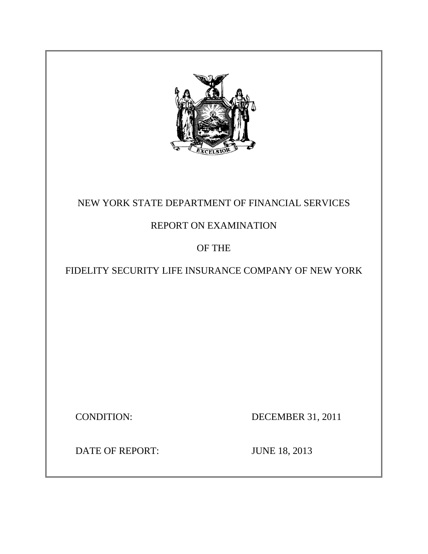

## NEW YORK STATE DEPARTMENT OF FINANCIAL SERVICES

## REPORT ON EXAMINATION

## OF THE

## FIDELITY SECURITY LIFE INSURANCE COMPANY OF NEW YORK

**CONDITION:** 

DECEMBER 31, 2011

DATE OF REPORT: JUNE 18, 2013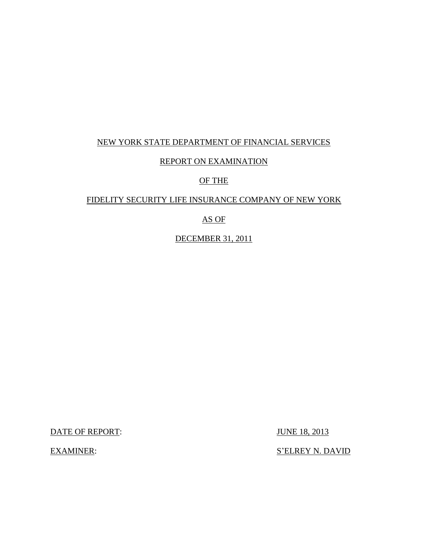## NEW YORK STATE DEPARTMENT OF FINANCIAL SERVICES

### REPORT ON EXAMINATION

### OF THE

### FIDELITY SECURITY LIFE INSURANCE COMPANY OF NEW YORK

### AS OF

DECEMBER 31, 2011

DATE OF REPORT: JUNE 18, 2013

**EXAMINER:** 

S'ELREY N. DAVID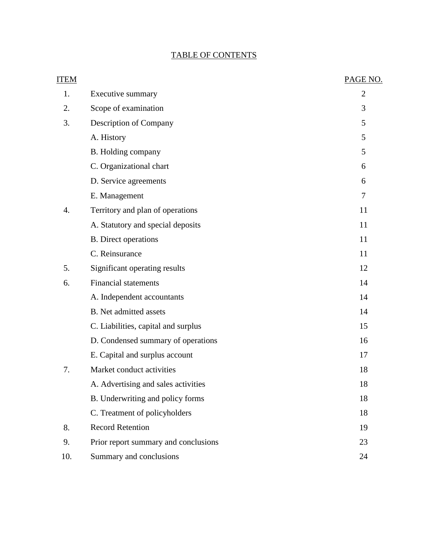## TABLE OF CONTENTS

| <b>ITEM</b> |                                      | PAGE NO.       |
|-------------|--------------------------------------|----------------|
| 1.          | Executive summary                    | $\overline{2}$ |
| 2.          | Scope of examination                 | 3              |
| 3.          | Description of Company               | 5              |
|             | A. History                           | 5              |
|             | B. Holding company                   | 5              |
|             | C. Organizational chart              | 6              |
|             | D. Service agreements                | 6              |
|             | E. Management                        | 7              |
| 4.          | Territory and plan of operations     | 11             |
|             | A. Statutory and special deposits    | 11             |
|             | <b>B.</b> Direct operations          | 11             |
|             | C. Reinsurance                       | 11             |
| 5.          | Significant operating results        | 12             |
| 6.          | <b>Financial statements</b>          | 14             |
|             | A. Independent accountants           | 14             |
|             | <b>B.</b> Net admitted assets        | 14             |
|             | C. Liabilities, capital and surplus  | 15             |
|             | D. Condensed summary of operations   | 16             |
|             | E. Capital and surplus account       | 17             |
| 7.          | Market conduct activities            | 18             |
|             | A. Advertising and sales activities  | 18             |
|             | B. Underwriting and policy forms     | 18             |
|             | C. Treatment of policyholders        | 18             |
| 8.          | <b>Record Retention</b>              | 19             |
| 9.          | Prior report summary and conclusions | 23             |
| 10.         | Summary and conclusions              | 24             |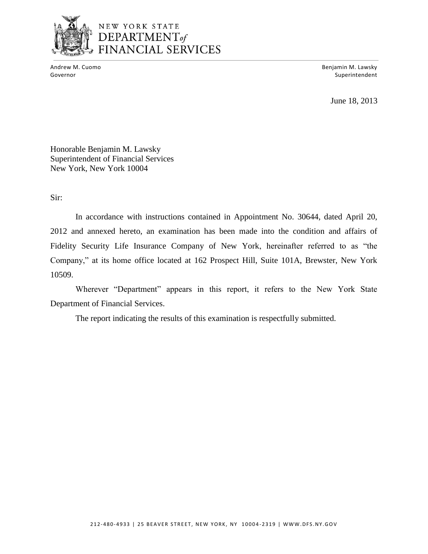

# NEW YORK STATE DEPARTMENT<sub>of</sub><br>FINANCIAL SERVICES

Andrew M. Cuomo

Benjamin M. Lawsky Governor Superintendent and Superintendent and Superintendent and Superintendent and Superintendent and Superintendent and Superintendent and Superintendent and Superintendent and Superintendent and Superintendent and Supe

June 18, 2013

Honorable Benjamin M. Lawsky Superintendent of Financial Services New York, New York 10004

Sir:

 Fidelity Security Life Insurance Company of New York, hereinafter referred to as "the Company," at its home office located at 162 Prospect Hill, Suite 101A, Brewster, New York In accordance with instructions contained in Appointment No. 30644, dated April 20, 2012 and annexed hereto, an examination has been made into the condition and affairs of 10509.

Wherever "Department" appears in this report, it refers to the New York State Department of Financial Services.

The report indicating the results of this examination is respectfully submitted.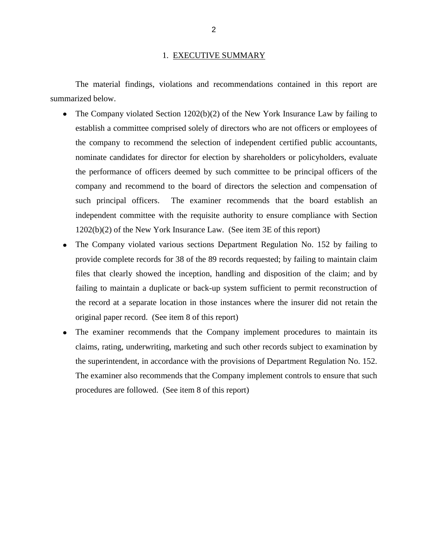#### 1. EXECUTIVE SUMMARY

<span id="page-4-0"></span>The material findings, violations and recommendations contained in this report are summarized below.

- The Company violated Section 1202(b)(2) of the New York Insurance Law by failing to establish a committee comprised solely of directors who are not officers or employees of nominate candidates for director for election by shareholders or policyholders, evaluate the performance of officers deemed by such committee to be principal officers of the company and recommend to the board of directors the selection and compensation of such principal officers. independent committee with the requisite authority to ensure compliance with Section 1202(b)(2) of the New York Insurance Law. (See item 3E of this report) the company to recommend the selection of independent certified public accountants, The examiner recommends that the board establish an
- The Company violated various sections Department Regulation No. 152 by failing to provide complete records for 38 of the 89 records requested; by failing to maintain claim files that clearly showed the inception, handling and disposition of the claim; and by failing to maintain a duplicate or back-up system sufficient to permit reconstruction of the record at a separate location in those instances where the insurer did not retain the original paper record. (See item 8 of this report)
- the superintendent, in accordance with the provisions of Department Regulation No. 152. the superintendent, in accordance with the provisions of Department Regulation No. 152. The examiner also recommends that the Company implement controls to ensure that such procedures are followed. (See item 8 of this report) The examiner recommends that the Company implement procedures to maintain its claims, rating, underwriting, marketing and such other records subject to examination by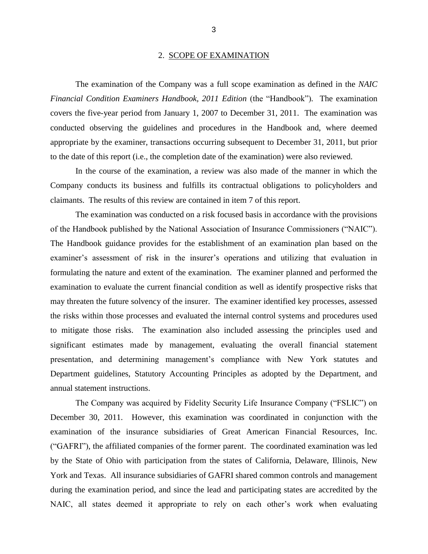#### 2. SCOPE OF EXAMINATION

<span id="page-5-0"></span> *Financial Condition Examiners Handbook, 2011 Edition* (the "Handbook")*.* The examination covers the five-year period from January 1, 2007 to December 31, 2011. The examination was conducted observing the guidelines and procedures in the Handbook and, where deemed appropriate by the examiner, transactions occurring subsequent to December 31, 2011, but prior The examination of the Company was a full scope examination as defined in the *NAIC*  to the date of this report (i.e., the completion date of the examination) were also reviewed.

 In the course of the examination, a review was also made of the manner in which the Company conducts its business and fulfills its contractual obligations to policyholders and claimants. The results of this review are contained in item 7 of this report.

 of the Handbook published by the National Association of Insurance Commissioners ("NAIC"). The Handbook guidance provides for the establishment of an examination plan based on the examiner's assessment of risk in the insurer's operations and utilizing that evaluation in formulating the nature and extent of the examination. The examiner planned and performed the examination to evaluate the current financial condition as well as identify prospective risks that may threaten the future solvency of the insurer. The examiner identified key processes, assessed to mitigate those risks. The examination also included assessing the principles used and significant estimates made by management, evaluating the overall financial statement presentation, and determining management's compliance with New York statutes and Department guidelines, Statutory Accounting Principles as adopted by the Department, and The examination was conducted on a risk focused basis in accordance with the provisions the risks within those processes and evaluated the internal control systems and procedures used annual statement instructions.

 The Company was acquired by Fidelity Security Life Insurance Company ("FSLIC") on examination of the insurance subsidiaries of Great American Financial Resources, Inc. ("GAFRI"), the affiliated companies of the former parent. The coordinated examination was led by the State of Ohio with participation from the states of California, Delaware, Illinois, New York and Texas. All insurance subsidiaries of GAFRI shared common controls and management during the examination period, and since the lead and participating states are accredited by the December 30, 2011. However, this examination was coordinated in conjunction with the NAIC, all states deemed it appropriate to rely on each other's work when evaluating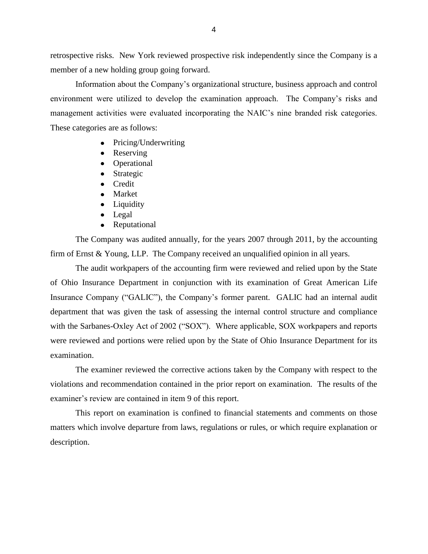retrospective risks. New York reviewed prospective risk independently since the Company is a member of a new holding group going forward.

 environment were utilized to develop the examination approach. The Company's risks and management activities were evaluated incorporating the NAIC's nine branded risk categories. These categories are as follows: Information about the Company's organizational structure, business approach and control

- Pricing/Underwriting
- Reserving
- Operational
- Strategic
- Credit
- Market
- Liquidity
- Legal
- Reputational  $\bullet$

 The Company was audited annually, for the years 2007 through 2011, by the accounting firm of Ernst & Young, LLP. The Company received an unqualified opinion in all years.

 of Ohio Insurance Department in conjunction with its examination of Great American Life Insurance Company ("GALIC"), the Company's former parent. GALIC had an internal audit with the Sarbanes-Oxley Act of 2002 ("SOX"). Where applicable, SOX workpapers and reports were reviewed and portions were relied upon by the State of Ohio Insurance Department for its The audit workpapers of the accounting firm were reviewed and relied upon by the State department that was given the task of assessing the internal control structure and compliance examination.

 violations and recommendation contained in the prior report on examination. The results of the examiner's review are contained in item 9 of this report. The examiner reviewed the corrective actions taken by the Company with respect to the

 matters which involve departure from laws, regulations or rules, or which require explanation or This report on examination is confined to financial statements and comments on those description.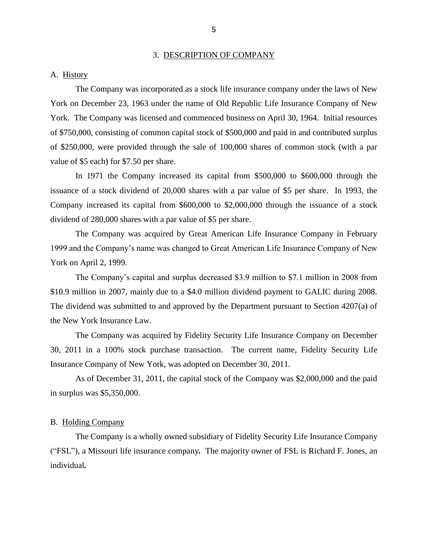#### 3. DESCRIPTION OF COMPANY

#### <span id="page-7-0"></span>A. History

 York on December 23, 1963 under the name of Old Republic Life Insurance Company of New York. The Company was licensed and commenced business on April 30, 1964. Initial resources of \$750,000, consisting of common capital stock of \$500,000 and paid in and contributed surplus value of \$5 each) for \$7.50 per share. The Company was incorporated as a stock life insurance company under the laws of New of \$250,000, were provided through the sale of 100,000 shares of common stock (with a par

 issuance of a stock dividend of 20,000 shares with a par value of \$5 per share. In 1993, the Company increased its capital from \$600,000 to \$2,000,000 through the issuance of a stock In 1971 the Company increased its capital from \$500,000 to \$600,000 through the dividend of 280,000 shares with a par value of \$5 per share.

 The Company was acquired by Great American Life Insurance Company in February 1999 and the Company's name was changed to Great American Life Insurance Company of New York on April 2, 1999.

 The Company's capital and surplus decreased \$3.9 million to \$7.1 million in 2008 from \$10.9 million in 2007, mainly due to a \$4.0 million dividend payment to GALIC during 2008. The dividend was submitted to and approved by the Department pursuant to Section 4207(a) of the New York Insurance Law.

 The Company was acquired by Fidelity Security Life Insurance Company on December 30, 2011 in a 100% stock purchase transaction. The current name, Fidelity Security Life Insurance Company of New York, was adopted on December 30, 2011.

As of December 31, 2011, the capital stock of the Company was \$2,000,000 and the paid in surplus was \$5,350,000.

#### B. Holding Company

 ("FSL"), a Missouri life insurance company*.* The majority owner of FSL is Richard F. Jones, an The Company is a wholly owned subsidiary of Fidelity Security Life Insurance Company individual*.*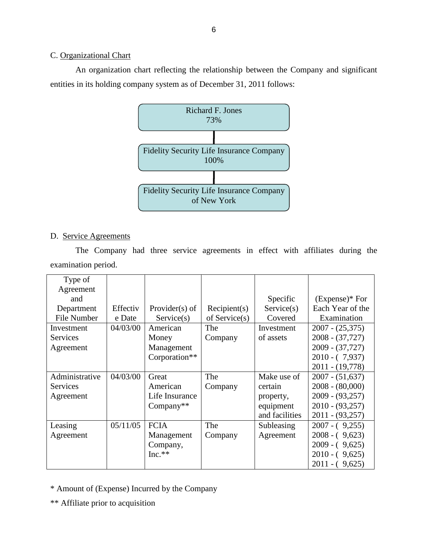### C. Organizational Chart

 An organization chart reflecting the relationship between the Company and significant entities in its holding company system as of December 31, 2011 follows:



### D. Service Agreements

The Company had three service agreements in effect with affiliates during the examination period.

| Type of         |          |                   |               |                |                   |
|-----------------|----------|-------------------|---------------|----------------|-------------------|
| Agreement       |          |                   |               |                |                   |
| and             |          |                   |               | Specific       | $(Express)*$ For  |
| Department      | Effectiv | Provider $(s)$ of | Recipient(s)  | Service(s)     | Each Year of the  |
| File Number     | e Date   | Service(s)        | of Service(s) | Covered        | Examination       |
| Investment      | 04/03/00 | American          | The           | Investment     | $2007 - (25,375)$ |
| Services        |          | Money             | Company       | of assets      | $2008 - (37,727)$ |
| Agreement       |          | Management        |               |                | $2009 - (37,727)$ |
|                 |          | Corporation**     |               |                | $2010 - (7,937)$  |
|                 |          |                   |               |                | $2011 - (19,778)$ |
| Administrative  | 04/03/00 | Great             | The           | Make use of    | $2007 - (51,637)$ |
| <b>Services</b> |          | American          | Company       | certain        | $2008 - (80,000)$ |
| Agreement       |          | Life Insurance    |               | property,      | $2009 - (93,257)$ |
|                 |          | $Company**$       |               | equipment      | $2010 - (93,257)$ |
|                 |          |                   |               | and facilities | $2011 - (93,257)$ |
| Leasing         | 05/11/05 | <b>FCIA</b>       | The           | Subleasing     | $2007 - (9,255)$  |
| Agreement       |          | Management        | Company       | Agreement      | $2008 - (9,623)$  |
|                 |          | Company,          |               |                | $2009 - (9,625)$  |
|                 |          | $Inc.**$          |               |                | $2010 - (9,625)$  |
|                 |          |                   |               |                | $2011 - (9,625)$  |

\* Amount of (Expense) Incurred by the Company

\*\* Affiliate prior to acquisition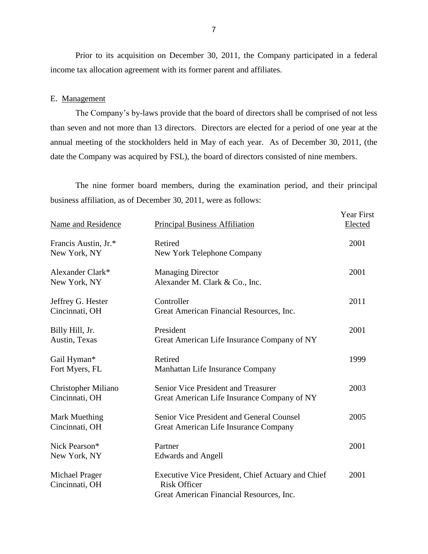Prior to its acquisition on December 30, 2011, the Company participated in a federal income tax allocation agreement with its former parent and affiliates.

#### E. Management

 The Company's by-laws provide that the board of directors shall be comprised of not less than seven and not more than 13 directors. Directors are elected for a period of one year at the annual meeting of the stockholders held in May of each year. As of December 30, 2011, (the date the Company was acquired by FSL), the board of directors consisted of nine members.

The nine former board members, during the examination period, and their principal business affiliation, as of December 30, 2011, were as follows:

| <b>Name and Residence</b>             | <b>Principal Business Affiliation</b>                                                                                | <b>Year First</b><br>Elected |
|---------------------------------------|----------------------------------------------------------------------------------------------------------------------|------------------------------|
| Francis Austin, Jr.*<br>New York, NY  | Retired<br>New York Telephone Company                                                                                | 2001                         |
| Alexander Clark*<br>New York, NY      | <b>Managing Director</b><br>Alexander M. Clark & Co., Inc.                                                           | 2001                         |
| Jeffrey G. Hester<br>Cincinnati, OH   | Controller<br>Great American Financial Resources, Inc.                                                               | 2011                         |
| Billy Hill, Jr.<br>Austin, Texas      | President<br>Great American Life Insurance Company of NY                                                             | 2001                         |
| Gail Hyman*<br>Fort Myers, FL         | Retired<br>Manhattan Life Insurance Company                                                                          | 1999                         |
| Christopher Miliano<br>Cincinnati, OH | Senior Vice President and Treasurer<br>Great American Life Insurance Company of NY                                   | 2003                         |
| Mark Muething<br>Cincinnati, OH       | Senior Vice President and General Counsel<br>Great American Life Insurance Company                                   | 2005                         |
| Nick Pearson*<br>New York, NY         | Partner<br><b>Edwards and Angell</b>                                                                                 | 2001                         |
| Michael Prager<br>Cincinnati, OH      | Executive Vice President, Chief Actuary and Chief<br><b>Risk Officer</b><br>Great American Financial Resources, Inc. | 2001                         |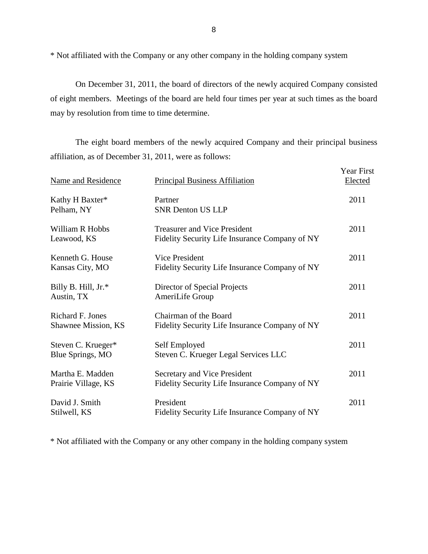\* Not affiliated with the Company or any other company in the holding company system

 On December 31, 2011, the board of directors of the newly acquired Company consisted of eight members. Meetings of the board are held four times per year at such times as the board may by resolution from time to time determine.

The eight board members of the newly acquired Company and their principal business affiliation, as of December 31, 2011, were as follows:

| Name and Residence                      | <b>Principal Business Affiliation</b>                                                 | Year First<br>Elected |
|-----------------------------------------|---------------------------------------------------------------------------------------|-----------------------|
| Kathy H Baxter*<br>Pelham, NY           | Partner<br><b>SNR Denton US LLP</b>                                                   | 2011                  |
| William R Hobbs<br>Leawood, KS          | <b>Treasurer and Vice President</b><br>Fidelity Security Life Insurance Company of NY | 2011                  |
| Kenneth G. House<br>Kansas City, MO     | <b>Vice President</b><br>Fidelity Security Life Insurance Company of NY               | 2011                  |
| Billy B. Hill, Jr.*<br>Austin, TX       | Director of Special Projects<br>AmeriLife Group                                       | 2011                  |
| Richard F. Jones<br>Shawnee Mission, KS | Chairman of the Board<br>Fidelity Security Life Insurance Company of NY               | 2011                  |
| Steven C. Krueger*<br>Blue Springs, MO  | Self Employed<br>Steven C. Krueger Legal Services LLC                                 | 2011                  |
| Martha E. Madden<br>Prairie Village, KS | Secretary and Vice President<br>Fidelity Security Life Insurance Company of NY        | 2011                  |
| David J. Smith<br>Stilwell, KS          | President<br>Fidelity Security Life Insurance Company of NY                           | 2011                  |

\* Not affiliated with the Company or any other company in the holding company system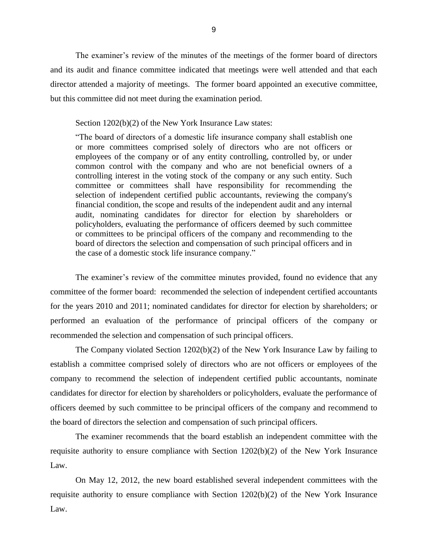The examiner's review of the minutes of the meetings of the former board of directors and its audit and finance committee indicated that meetings were well attended and that each director attended a majority of meetings. The former board appointed an executive committee, but this committee did not meet during the examination period.

Section 1202(b)(2) of the New York Insurance Law states:

 "The board of directors of a domestic life insurance company shall establish one or more committees comprised solely of directors who are not officers or employees of the company or of any entity controlling, controlled by, or under common control with the company and who are not beneficial owners of a controlling interest in the voting stock of the company or any such entity. Such committee or committees shall have responsibility for recommending the policyholders, evaluating the performance of officers deemed by such committee selection of independent certified public accountants, reviewing the company's financial condition, the scope and results of the independent audit and any internal audit, nominating candidates for director for election by shareholders or or committees to be principal officers of the company and recommending to the board of directors the selection and compensation of such principal officers and in the case of a domestic stock life insurance company."

 The examiner's review of the committee minutes provided, found no evidence that any committee of the former board: recommended the selection of independent certified accountants for the years 2010 and 2011; nominated candidates for director for election by shareholders; or performed an evaluation of the performance of principal officers of the company or recommended the selection and compensation of such principal officers.

 establish a committee comprised solely of directors who are not officers or employees of the candidates for director for election by shareholders or policyholders, evaluate the performance of officers deemed by such committee to be principal officers of the company and recommend to The Company violated Section 1202(b)(2) of the New York Insurance Law by failing to company to recommend the selection of independent certified public accountants, nominate the board of directors the selection and compensation of such principal officers.

 requisite authority to ensure compliance with Section 1202(b)(2) of the New York Insurance The examiner recommends that the board establish an independent committee with the Law.

 On May 12, 2012, the new board established several independent committees with the requisite authority to ensure compliance with Section 1202(b)(2) of the New York Insurance Law.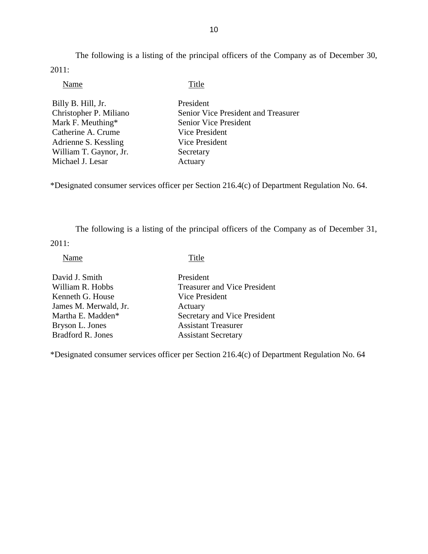The following is a listing of the principal officers of the Company as of December 30, 2011:

| Title                               |
|-------------------------------------|
| President                           |
| Senior Vice President and Treasurer |
| <b>Senior Vice President</b>        |
| Vice President                      |
| Vice President                      |
| Secretary                           |
| Actuary                             |
|                                     |

\*Designated consumer services officer per Section 216.4(c) of Department Regulation No. 64.

The following is a listing of the principal officers of the Company as of December 31,

2011:

Name Title

| David J. Smith           | President                           |
|--------------------------|-------------------------------------|
| William R. Hobbs         | <b>Treasurer and Vice President</b> |
| Kenneth G. House         | Vice President                      |
| James M. Merwald, Jr.    | Actuary                             |
| Martha E. Madden*        | Secretary and Vice President        |
| Bryson L. Jones          | <b>Assistant Treasurer</b>          |
| <b>Bradford R. Jones</b> | <b>Assistant Secretary</b>          |
|                          |                                     |

\*Designated consumer services officer per Section 216.4(c) of Department Regulation No. 64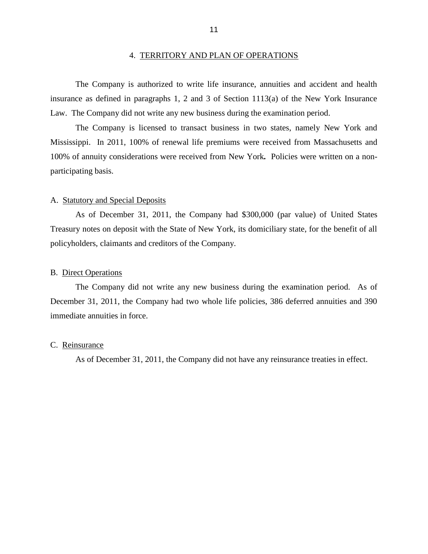<span id="page-13-0"></span> insurance as defined in paragraphs 1, 2 and 3 of Section 1113(a) of the New York Insurance Law. The Company did not write any new business during the examination period. The Company is authorized to write life insurance, annuities and accident and health

 Mississippi. In 2011, 100% of renewal life premiums were received from Massachusetts and 100% of annuity considerations were received from New York*.* Policies were written on a non-The Company is licensed to transact business in two states, namely New York and participating basis.

#### A. Statutory and Special Deposits

 As of December 31, 2011, the Company had \$300,000 (par value) of United States Treasury notes on deposit with the State of New York, its domiciliary state, for the benefit of all policyholders, claimants and creditors of the Company.

#### B. Direct Operations

 December 31, 2011, the Company had two whole life policies, 386 deferred annuities and 390 The Company did not write any new business during the examination period. As of immediate annuities in force.

#### C. Reinsurance

As of December 31, 2011, the Company did not have any reinsurance treaties in effect.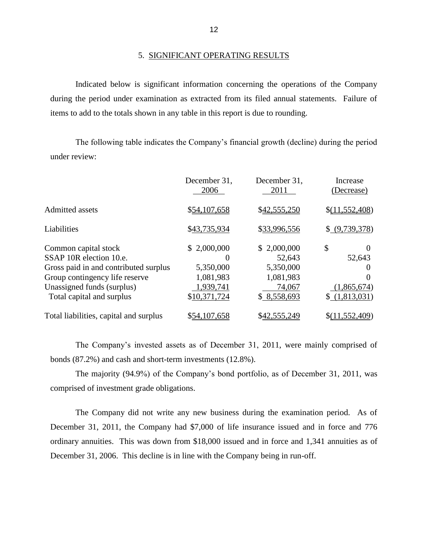#### 5. SIGNIFICANT OPERATING RESULTS

 during the period under examination as extracted from its filed annual statements. Failure of Indicated below is significant information concerning the operations of the Company items to add to the totals shown in any table in this report is due to rounding.

 The following table indicates the Company's financial growth (decline) during the period under review:

|                                        | December 31,<br>2006 | December 31,<br>2011 | Increase<br>(Decrease) |
|----------------------------------------|----------------------|----------------------|------------------------|
| <b>Admitted assets</b>                 | \$54,107,658         | \$42,555,250         | \$(11,552,408)         |
| Liabilities                            | \$43,735,934         | \$33,996,556         | \$ (9,739,378)         |
| Common capital stock                   | \$2,000,000          | \$2,000,000          | \$<br>$\theta$         |
| SSAP 10R election 10.e.                |                      | 52,643               | 52,643                 |
| Gross paid in and contributed surplus  | 5,350,000            | 5,350,000            | 0                      |
| Group contingency life reserve         | 1,081,983            | 1,081,983            | 0                      |
| Unassigned funds (surplus)             | 1,939,741            | 74,067               | (1,865,674)            |
| Total capital and surplus              | \$10,371,724         | \$8,558,693          | \$(1,813,031)          |
| Total liabilities, capital and surplus | \$54,107,658         | \$42,555,249         | \$(11,552,409)         |

 The Company's invested assets as of December 31, 2011, were mainly comprised of bonds (87.2%) and cash and short-term investments (12.8%).

The majority (94.9%) of the Company's bond portfolio, as of December 31, 2011, was comprised of investment grade obligations.

 December 31, 2011, the Company had \$7,000 of life insurance issued and in force and 776 ordinary annuities. This was down from \$18,000 issued and in force and 1,341 annuities as of December 31, 2006. This decline is in line with the Company being in run-off. The Company did not write any new business during the examination period. As of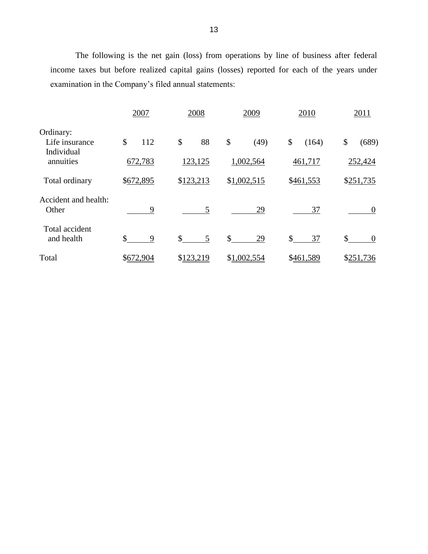The following is the net gain (loss) from operations by line of business after federal income taxes but before realized capital gains (losses) reported for each of the years under examination in the Company's filed annual statements:

|                               | 2007               | 2008      | 2009        | 2010        | 2011           |
|-------------------------------|--------------------|-----------|-------------|-------------|----------------|
| Ordinary:<br>Life insurance   | \$<br>112          | \$<br>88  | \$<br>(49)  | \$<br>(164) | (689)<br>\$    |
| Individual<br>annuities       | 672,783            | 123,125   | 1,002,564   | 461,717     | 252,424        |
| Total ordinary                | \$672,895          | \$123,213 | \$1,002,515 | \$461,553   | \$251,735      |
| Accident and health:<br>Other | 9                  | 5         | 29          | 37          | $\overline{0}$ |
| Total accident<br>and health  | $\mathcal{S}$<br>9 | \$<br>5   | \$<br>29    | \$<br>37    | \$<br>$\theta$ |
| Total                         | \$672,904          | \$123,219 | \$1,002,554 | \$461,589   | \$251,736      |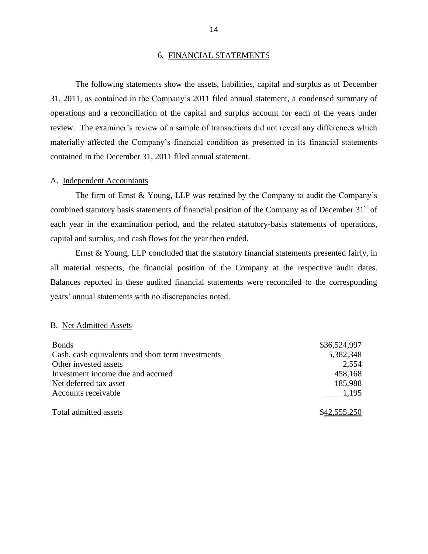#### 6. FINANCIAL STATEMENTS

 operations and a reconciliation of the capital and surplus account for each of the years under review. The examiner's review of a sample of transactions did not reveal any differences which The following statements show the assets, liabilities, capital and surplus as of December 31, 2011, as contained in the Company's 2011 filed annual statement, a condensed summary of materially affected the Company's financial condition as presented in its financial statements contained in the December 31, 2011 filed annual statement.

#### A. Independent Accountants

combined statutory basis statements of financial position of the Company as of December  $31<sup>st</sup>$  of each year in the examination period, and the related statutory-basis statements of operations, The firm of Ernst & Young, LLP was retained by the Company to audit the Company's capital and surplus, and cash flows for the year then ended.

 Ernst & Young, LLP concluded that the statutory financial statements presented fairly, in all material respects, the financial position of the Company at the respective audit dates. Balances reported in these audited financial statements were reconciled to the corresponding years' annual statements with no discrepancies noted.

#### B. Net Admitted Assets

| <b>Bonds</b>                                      | \$36,524,997 |
|---------------------------------------------------|--------------|
| Cash, cash equivalents and short term investments | 5,382,348    |
| Other invested assets                             | 2,554        |
| Investment income due and accrued                 | 458,168      |
| Net deferred tax asset                            | 185,988      |
| Accounts receivable                               | 1,195        |
| Total admitted assets                             | \$42,555,250 |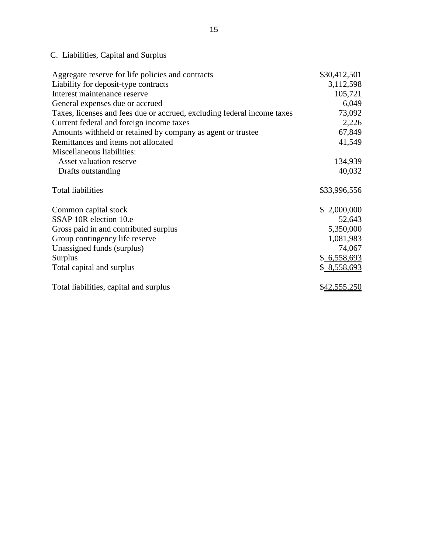## C. Liabilities, Capital and Surplus

| Aggregate reserve for life policies and contracts                       | \$30,412,501 |
|-------------------------------------------------------------------------|--------------|
| Liability for deposit-type contracts                                    | 3,112,598    |
| Interest maintenance reserve                                            | 105,721      |
| General expenses due or accrued                                         | 6,049        |
| Taxes, licenses and fees due or accrued, excluding federal income taxes | 73,092       |
| Current federal and foreign income taxes                                | 2,226        |
| Amounts withheld or retained by company as agent or trustee             | 67,849       |
| Remittances and items not allocated                                     | 41,549       |
| Miscellaneous liabilities:                                              |              |
| Asset valuation reserve                                                 | 134,939      |
| Drafts outstanding                                                      | 40,032       |
| <b>Total liabilities</b>                                                | \$33,996,556 |
| Common capital stock                                                    | \$2,000,000  |
| SSAP 10R election 10.e                                                  | 52,643       |
| Gross paid in and contributed surplus                                   | 5,350,000    |
| Group contingency life reserve                                          | 1,081,983    |
| Unassigned funds (surplus)                                              | 74,067       |
| <b>Surplus</b>                                                          | \$6,558,693  |
| Total capital and surplus                                               | \$ 8,558,693 |
| Total liabilities, capital and surplus                                  | \$42,555,250 |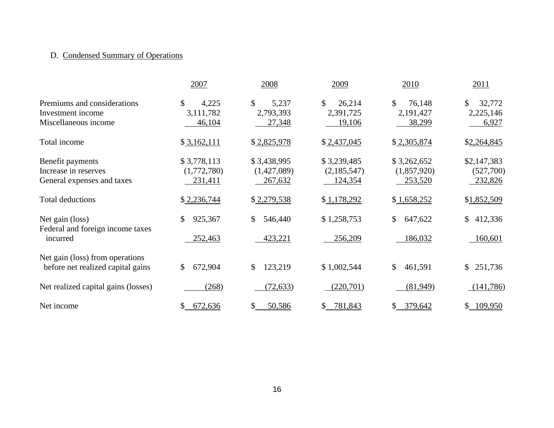## D. Condensed Summary of Operations

|                                                                          | 2007                                  | 2008                                  | 2009                                  | 2010                                           | 2011                                |
|--------------------------------------------------------------------------|---------------------------------------|---------------------------------------|---------------------------------------|------------------------------------------------|-------------------------------------|
| Premiums and considerations<br>Investment income<br>Miscellaneous income | \$<br>4,225<br>3,111,782<br>46,104    | \$<br>5,237<br>2,793,393<br>27,348    | \$<br>26,214<br>2,391,725<br>19,106   | $\mathcal{S}$<br>76,148<br>2,191,427<br>38,299 | \$<br>32,772<br>2,225,146<br>6,927  |
| Total income                                                             | \$3,162,111                           | \$2,825,978                           | \$2,437,045                           | \$2,305,874                                    | \$2,264,845                         |
| Benefit payments<br>Increase in reserves<br>General expenses and taxes   | \$3,778,113<br>(1,772,780)<br>231,411 | \$3,438,995<br>(1,427,089)<br>267,632 | \$3,239,485<br>(2,185,547)<br>124,354 | \$3,262,652<br>(1,857,920)<br>253,520          | \$2,147,383<br>(527,700)<br>232,826 |
| <b>Total deductions</b>                                                  | \$2,236,744                           | \$2,279,538                           | \$1,178,292                           | \$1,658,252                                    | \$1,852,509                         |
| Net gain (loss)<br>Federal and foreign income taxes<br>incurred          | 925,367<br>252,463                    | \$<br>546,440<br>423,221              | \$1,258,753<br>256,209                | $\mathbb{S}$<br>647,622<br>186,032             | \$<br>412,336<br>160,601            |
| Net gain (loss) from operations<br>before net realized capital gains     | 672,904<br>$\mathbb{S}^-$             | $\mathbb{S}$<br>123,219               | \$1,002,544                           | $\mathbb{S}$<br>461,591                        | \$<br>251,736                       |
| Net realized capital gains (losses)                                      | (268)                                 | (72, 633)                             | (220, 701)                            | (81,949)                                       | (141, 786)                          |
| Net income                                                               | 672,636                               | 50,586                                | \$<br>781,843                         | 379,642<br>$\mathbb{S}$                        | \$109,950                           |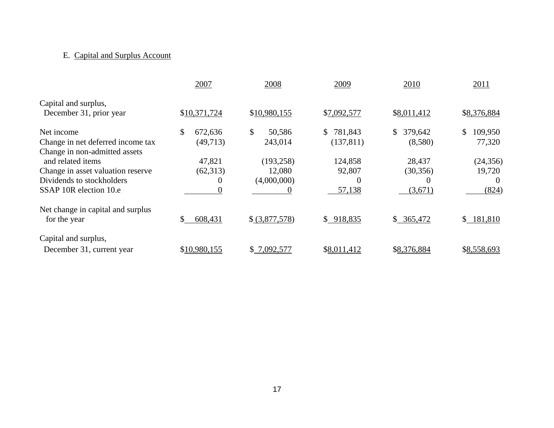## E. Capital and Surplus Account

|                                                   | 2007          | 2008                   | 2009          | 2010          | 2011          |
|---------------------------------------------------|---------------|------------------------|---------------|---------------|---------------|
| Capital and surplus,<br>December 31, prior year   | \$10,371,724  | \$10,980,155           | \$7,092,577   | \$8,011,412   | \$8,376,884   |
| Net income                                        | \$<br>672,636 | $\mathbb{S}$<br>50,586 | 781,843<br>S. | 379,642<br>S. | 109,950<br>\$ |
| Change in net deferred income tax                 | (49,713)      | 243,014                | (137, 811)    | (8,580)       | 77,320        |
| Change in non-admitted assets                     |               |                        |               |               |               |
| and related items                                 | 47,821        | (193, 258)             | 124,858       | 28,437        | (24, 356)     |
| Change in asset valuation reserve                 | (62,313)      | 12,080                 | 92,807        | (30, 356)     | 19,720        |
| Dividends to stockholders                         | 0             | (4,000,000)            | $\Omega$      | $\theta$      | $\Omega$      |
| SSAP 10R election 10.e                            | 0             | $\Omega$               | 57,138        | (3,671)       | (824)         |
| Net change in capital and surplus<br>for the year | 608,431       | \$ (3,877,578)         | \$918,835     | \$365,472     | \$181,810     |
| Capital and surplus,                              |               |                        |               |               |               |
| December 31, current year                         | \$10,980,155  | \$7,092,577            | \$8,011,412   | \$8,376,884   | \$8,558,693   |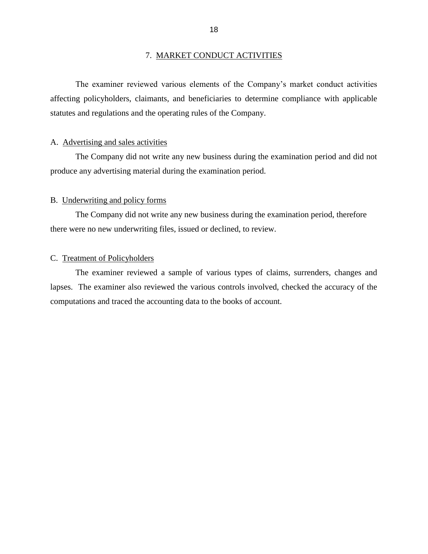#### 7. MARKET CONDUCT ACTIVITIES

<span id="page-20-0"></span> affecting policyholders, claimants, and beneficiaries to determine compliance with applicable The examiner reviewed various elements of the Company's market conduct activities statutes and regulations and the operating rules of the Company.

#### A. Advertising and sales activities

 produce any advertising material during the examination period. The Company did not write any new business during the examination period and did not

#### B. Underwriting and policy forms

The Company did not write any new business during the examination period, therefore there were no new underwriting files, issued or declined, to review.

#### C. Treatment of Policyholders

 The examiner reviewed a sample of various types of claims, surrenders, changes and lapses. The examiner also reviewed the various controls involved, checked the accuracy of the computations and traced the accounting data to the books of account.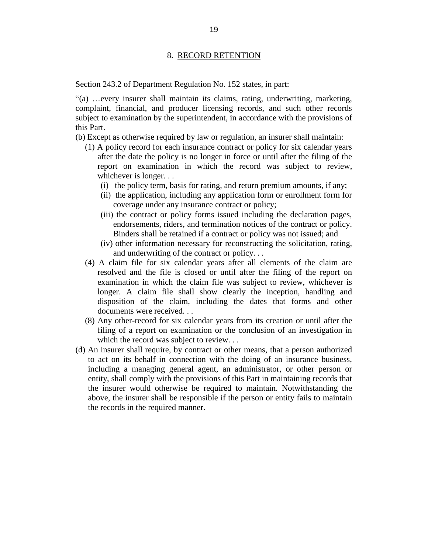#### 8. RECORD RETENTION

<span id="page-21-0"></span>8. RECORD RETENTION<br>Section 243.2 of Department Regulation No. 152 states, in part:

 complaint, financial, and producer licensing records, and such other records subject to examination by the superintendent, in accordance with the provisions of "(a) …every insurer shall maintain its claims, rating, underwriting, marketing, this Part.

(b) Except as otherwise required by law or regulation, an insurer shall maintain:

- (1) A policy record for each insurance contract or policy for six calendar years after the date the policy is no longer in force or until after the filing of the report on examination in which the record was subject to review, whichever is longer. . .
	- (i) the policy term, basis for rating, and return premium amounts, if any;
	- (ii) the application, including any application form or enrollment form for coverage under any insurance contract or policy;
	- (iii) the contract or policy forms issued including the declaration pages, endorsements, riders, and termination notices of the contract or policy. Binders shall be retained if a contract or policy was not issued; and
	- (iv) other information necessary for reconstructing the solicitation, rating, and underwriting of the contract or policy. . .
- (4) A claim file for six calendar years after all elements of the claim are resolved and the file is closed or until after the filing of the report on examination in which the claim file was subject to review, whichever is longer. A claim file shall show clearly the inception, handling and disposition of the claim, including the dates that forms and other documents were received. . .
- (8) Any other-record for six calendar years from its creation or until after the filing of a report on examination or the conclusion of an investigation in which the record was subject to review...
- (d) An insurer shall require, by contract or other means, that a person authorized to act on its behalf in connection with the doing of an insurance business, including a managing general agent, an administrator, or other person or above, the insurer shall be responsible if the person or entity fails to maintain entity, shall comply with the provisions of this Part in maintaining records that the insurer would otherwise be required to maintain. Notwithstanding the the records in the required manner.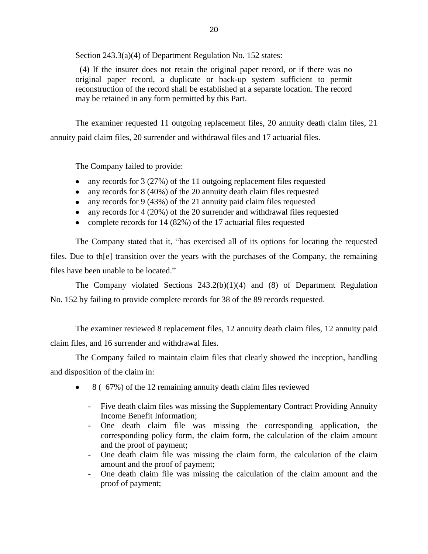Section 243.3(a)(4) of Department Regulation No. 152 states:

 original paper record, a duplicate or back-up system sufficient to permit (4) If the insurer does not retain the original paper record, or if there was no reconstruction of the record shall be established at a separate location. The record may be retained in any form permitted by this Part.

 The examiner requested 11 outgoing replacement files, 20 annuity death claim files, 21 annuity paid claim files, 20 surrender and withdrawal files and 17 actuarial files.

The Company failed to provide:

- any records for 3 (27%) of the 11 outgoing replacement files requested
- any records for 8 (40%) of the 20 annuity death claim files requested
- any records for 9 (43%) of the 21 annuity paid claim files requested
- any records for 4 (20%) of the 20 surrender and withdrawal files requested
- complete records for 14 (82%) of the 17 actuarial files requested

 The Company stated that it, "has exercised all of its options for locating the requested files. Due to th[e] transition over the years with the purchases of the Company, the remaining files have been unable to be located."

 The Company violated Sections 243.2(b)(1)(4) and (8) of Department Regulation No. 152 by failing to provide complete records for 38 of the 89 records requested.

The examiner reviewed 8 replacement files, 12 annuity death claim files, 12 annuity paid claim files, and 16 surrender and withdrawal files.

 The Company failed to maintain claim files that clearly showed the inception, handling and disposition of the claim in:

- 8 ( 67%) of the 12 remaining annuity death claim files reviewed  $\bullet$ 
	- Five death claim files was missing the Supplementary Contract Providing Annuity Income Benefit Information;
	- corresponding policy form, the claim form, the calculation of the claim amount - One death claim file was missing the corresponding application, the and the proof of payment;
	- One death claim file was missing the claim form, the calculation of the claim amount and the proof of payment;
	- One death claim file was missing the calculation of the claim amount and the proof of payment;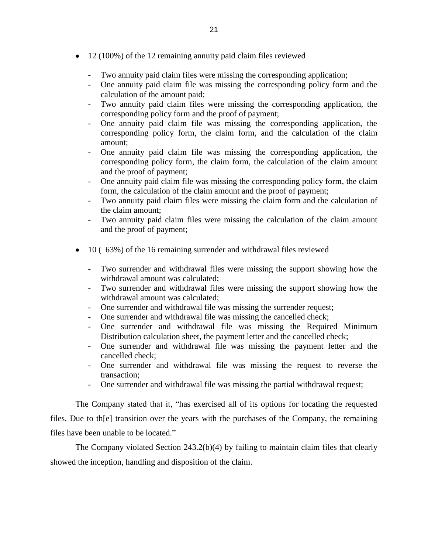- 12 (100%) of the 12 remaining annuity paid claim files reviewed
	- Two annuity paid claim files were missing the corresponding application;
	- - One annuity paid claim file was missing the corresponding policy form and the calculation of the amount paid;
	- - Two annuity paid claim files were missing the corresponding application, the corresponding policy form and the proof of payment;
	- - One annuity paid claim file was missing the corresponding application, the corresponding policy form, the claim form, and the calculation of the claim amount;
	- - One annuity paid claim file was missing the corresponding application, the corresponding policy form, the claim form, the calculation of the claim amount and the proof of payment;
	- One annuity paid claim file was missing the corresponding policy form, the claim form, the calculation of the claim amount and the proof of payment;
	- - Two annuity paid claim files were missing the claim form and the calculation of the claim amount;
	- - Two annuity paid claim files were missing the calculation of the claim amount and the proof of payment;
- 10 (  $63\%$  ) of the 16 remaining surrender and withdrawal files reviewed
	- - Two surrender and withdrawal files were missing the support showing how the withdrawal amount was calculated;
	- - Two surrender and withdrawal files were missing the support showing how the withdrawal amount was calculated;
	- One surrender and withdrawal file was missing the surrender request;
	- One surrender and withdrawal file was missing the cancelled check;
	- - One surrender and withdrawal file was missing the Required Minimum Distribution calculation sheet, the payment letter and the cancelled check;
	- - One surrender and withdrawal file was missing the payment letter and the cancelled check;
	- - One surrender and withdrawal file was missing the request to reverse the transaction;
	- One surrender and withdrawal file was missing the partial withdrawal request;

 The Company stated that it, "has exercised all of its options for locating the requested files. Due to th[e] transition over the years with the purchases of the Company, the remaining files have been unable to be located."

 The Company violated Section 243.2(b)(4) by failing to maintain claim files that clearly showed the inception, handling and disposition of the claim.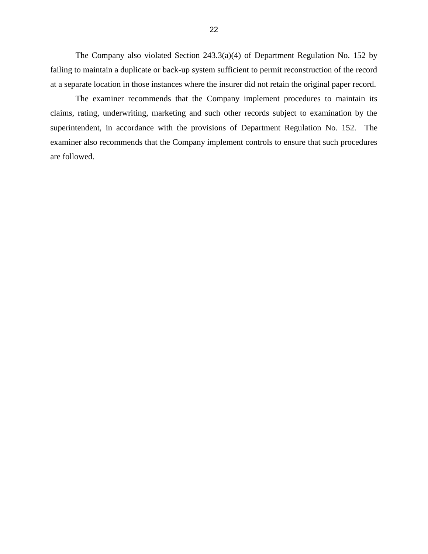The Company also violated Section 243.3(a)(4) of Department Regulation No. 152 by failing to maintain a duplicate or back-up system sufficient to permit reconstruction of the record at a separate location in those instances where the insurer did not retain the original paper record.

 claims, rating, underwriting, marketing and such other records subject to examination by the superintendent, in accordance with the provisions of Department Regulation No. 152. The The examiner recommends that the Company implement procedures to maintain its examiner also recommends that the Company implement controls to ensure that such procedures are followed.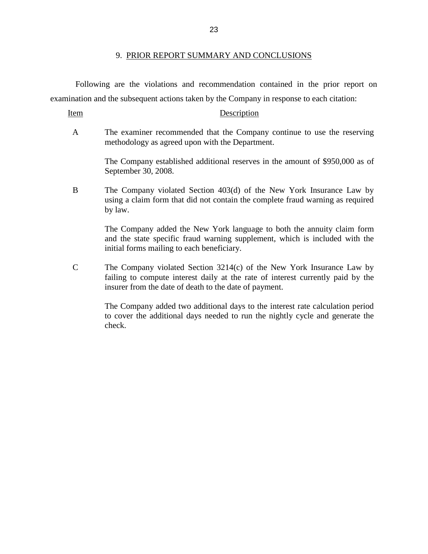#### 9. PRIOR REPORT SUMMARY AND CONCLUSIONS

<span id="page-25-0"></span> Following are the violations and recommendation contained in the prior report on examination and the subsequent actions taken by the Company in response to each citation:

Item Description

 A The examiner recommended that the Company continue to use the reserving methodology as agreed upon with the Department.

> The Company established additional reserves in the amount of \$950,000 as of September 30, 2008.

 B The Company violated Section 403(d) of the New York Insurance Law by using a claim form that did not contain the complete fraud warning as required by law.

> The Company added the New York language to both the annuity claim form and the state specific fraud warning supplement, which is included with the initial forms mailing to each beneficiary.

 C The Company violated Section 3214(c) of the New York Insurance Law by failing to compute interest daily at the rate of interest currently paid by the insurer from the date of death to the date of payment.

> The Company added two additional days to the interest rate calculation period to cover the additional days needed to run the nightly cycle and generate the check.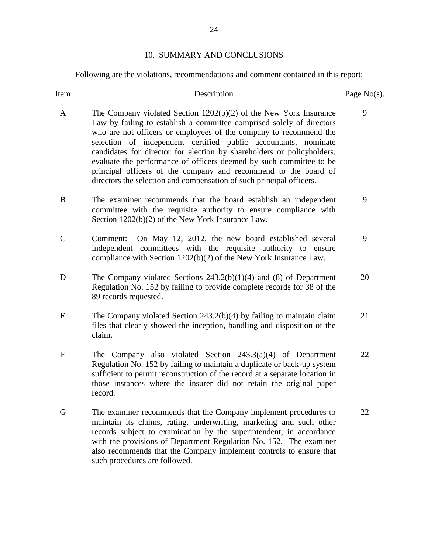## 10. SUMMARY AND CONCLUSIONS

<span id="page-26-0"></span>Following are the violations, recommendations and comment contained in this report:

| <u>Item</u> | Description                                                                                                                                                                                                                                                                                                                                                                                                                                                                                                                                                                      | Page $No(s)$ . |
|-------------|----------------------------------------------------------------------------------------------------------------------------------------------------------------------------------------------------------------------------------------------------------------------------------------------------------------------------------------------------------------------------------------------------------------------------------------------------------------------------------------------------------------------------------------------------------------------------------|----------------|
| A           | The Company violated Section $1202(b)(2)$ of the New York Insurance<br>Law by failing to establish a committee comprised solely of directors<br>who are not officers or employees of the company to recommend the<br>selection of independent certified public accountants, nominate<br>candidates for director for election by shareholders or policyholders,<br>evaluate the performance of officers deemed by such committee to be<br>principal officers of the company and recommend to the board of<br>directors the selection and compensation of such principal officers. | 9              |
| B           | The examiner recommends that the board establish an independent<br>committee with the requisite authority to ensure compliance with<br>Section 1202(b)(2) of the New York Insurance Law.                                                                                                                                                                                                                                                                                                                                                                                         | 9              |
| $\mathbf C$ | On May 12, 2012, the new board established several<br>Comment:<br>independent committees with the requisite authority to ensure<br>compliance with Section 1202(b)(2) of the New York Insurance Law.                                                                                                                                                                                                                                                                                                                                                                             | 9              |
| D           | The Company violated Sections $243.2(b)(1)(4)$ and (8) of Department<br>Regulation No. 152 by failing to provide complete records for 38 of the<br>89 records requested.                                                                                                                                                                                                                                                                                                                                                                                                         | 20             |
| E           | The Company violated Section $243.2(b)(4)$ by failing to maintain claim<br>files that clearly showed the inception, handling and disposition of the<br>claim.                                                                                                                                                                                                                                                                                                                                                                                                                    | 21             |
| $\mathbf F$ | The Company also violated Section $243.3(a)(4)$ of Department<br>Regulation No. 152 by failing to maintain a duplicate or back-up system<br>sufficient to permit reconstruction of the record at a separate location in<br>those instances where the insurer did not retain the original paper<br>record.                                                                                                                                                                                                                                                                        | 22             |
| G           | The examiner recommends that the Company implement procedures to<br>maintain its claims, rating, underwriting, marketing and such other<br>records subject to examination by the superintendent, in accordance<br>with the provisions of Department Regulation No. 152. The examiner<br>also recommends that the Company implement controls to ensure that<br>such procedures are followed.                                                                                                                                                                                      | 22             |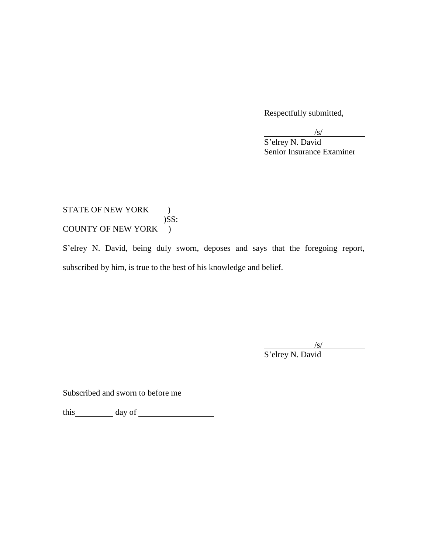Respectfully submitted,

/s/

S'elrey N. David Senior Insurance Examiner

### COUNTY OF NEW YORK ) STATE OF NEW YORK ) )SS:

S'elrey N. David, being duly sworn, deposes and says that the foregoing report, subscribed by him, is true to the best of his knowledge and belief.

/s/

S'elrey N. David

Subscribed and sworn to before me

this day of